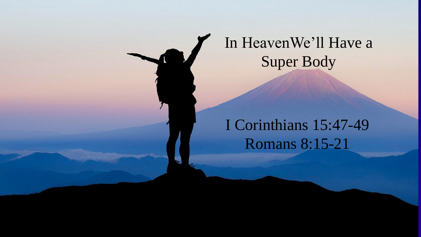

## I Corinthians 15:47-49 Romans 8:15-21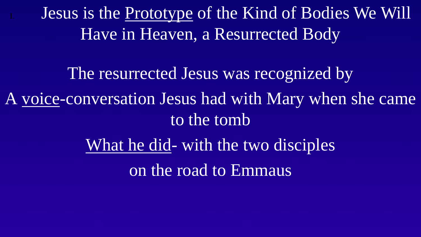Jesus is the Prototype of the Kind of Bodies We Will Have in Heaven, a Resurrected Body

The resurrected Jesus was recognized by A voice-conversation Jesus had with Mary when she came to the tomb What he did- with the two disciples on the road to Emmaus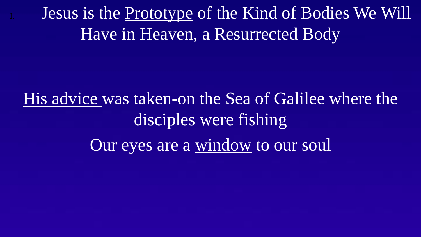Jesus is the Prototype of the Kind of Bodies We Will Have in Heaven, a Resurrected Body

His advice was taken-on the Sea of Galilee where the disciples were fishing Our eyes are a window to our soul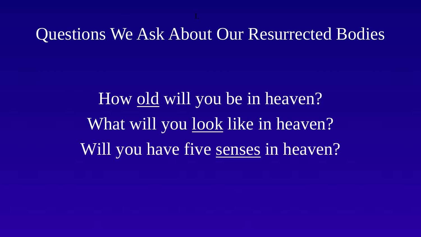Questions We Ask About Our Resurrected Bodies

How old will you be in heaven? What will you look like in heaven? Will you have five senses in heaven?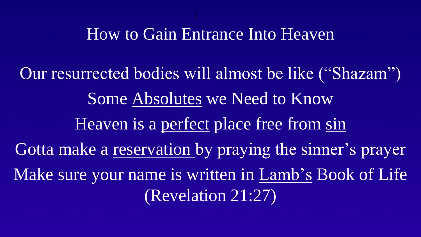## How to Gain Entrance Into Heaven

Our resurrected bodies will almost be like ("Shazam") Some Absolutes we Need to Know Heaven is a perfect place free from sin Gotta make a reservation by praying the sinner's prayer Make sure your name is written in Lamb's Book of Life (Revelation 21:27)